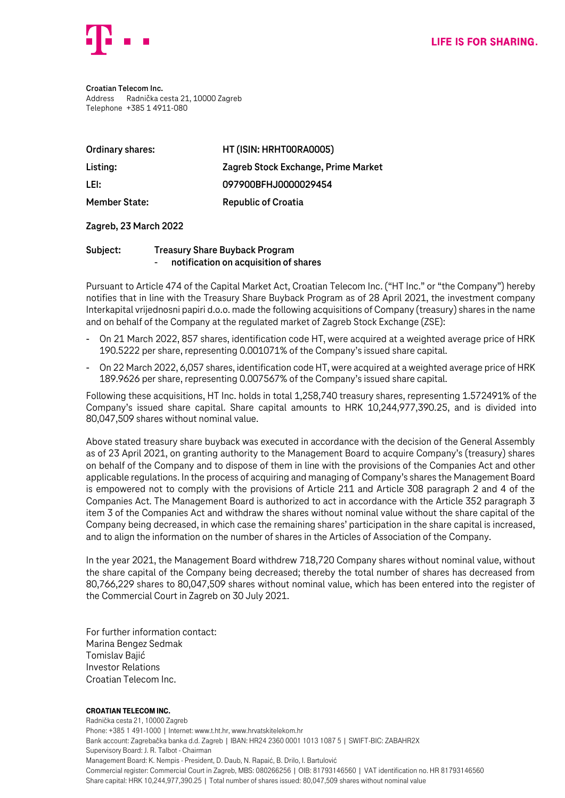

**Croatian Telecom Inc.** Address Radnička cesta 21, 10000 Zagreb Telephone +385 1 4911-080

| <b>Ordinary shares:</b> | HT (ISIN: HRHT00RA0005)             |
|-------------------------|-------------------------------------|
| Listing:                | Zagreb Stock Exchange, Prime Market |
| LEI:                    | 097900BFHJ0000029454                |
| <b>Member State:</b>    | <b>Republic of Croatia</b>          |

## **Zagreb, 23 March 2022**

## **Subject: Treasury Share Buyback Program** - **notification on acquisition of shares**

Pursuant to Article 474 of the Capital Market Act, Croatian Telecom Inc. ("HT Inc." or "the Company") hereby notifies that in line with the Treasury Share Buyback Program as of 28 April 2021, the investment company Interkapital vrijednosni papiri d.o.o. made the following acquisitions of Company (treasury) shares in the name and on behalf of the Company at the regulated market of Zagreb Stock Exchange (ZSE):

- On 21 March 2022, 857 shares, identification code HT, were acquired at a weighted average price of HRK 190.5222 per share, representing 0.001071% of the Company's issued share capital.
- On 22 March 2022, 6,057 shares, identification code HT, were acquired at a weighted average price of HRK 189.9626 per share, representing 0.007567% of the Company's issued share capital.

Following these acquisitions, HT Inc. holds in total 1,258,740 treasury shares, representing 1.572491% of the Company's issued share capital. Share capital amounts to HRK 10,244,977,390.25, and is divided into 80,047,509 shares without nominal value.

Above stated treasury share buyback was executed in accordance with the decision of the General Assembly as of 23 April 2021, on granting authority to the Management Board to acquire Company's (treasury) shares on behalf of the Company and to dispose of them in line with the provisions of the Companies Act and other applicable regulations. In the process of acquiring and managing of Company's shares the Management Board is empowered not to comply with the provisions of Article 211 and Article 308 paragraph 2 and 4 of the Companies Act. The Management Board is authorized to act in accordance with the Article 352 paragraph 3 item 3 of the Companies Act and withdraw the shares without nominal value without the share capital of the Company being decreased, in which case the remaining shares' participation in the share capital is increased, and to align the information on the number of shares in the Articles of Association of the Company.

In the year 2021, the Management Board withdrew 718,720 Company shares without nominal value, without the share capital of the Company being decreased; thereby the total number of shares has decreased from 80,766,229 shares to 80,047,509 shares without nominal value, which has been entered into the register of the Commercial Court in Zagreb on 30 July 2021.

For further information contact: Marina Bengez Sedmak Tomislav Bajić Investor Relations Croatian Telecom Inc.

## Croatian Telecom Inc.

Radnička cesta 21, 10000 Zagreb Phone: +385 1 491-1000 | Internet: www.t.ht.hr, www.hrvatskitelekom.hr Bank account: Zagrebačka banka d.d. Zagreb | IBAN: HR24 2360 0001 1013 1087 5 | SWIFT-BIC: ZABAHR2X Supervisory Board: J. R. Talbot - Chairman Management Board: K. Nempis - President, D. Daub, N. Rapaić, B. Drilo, I. Bartulović Commercial register: Commercial Court in Zagreb, MBS: 080266256 | OIB: 81793146560 | VAT identification no. HR 81793146560 Share capital: HRK 10,244,977,390.25 | Total number of shares issued: 80,047,509 shares without nominal value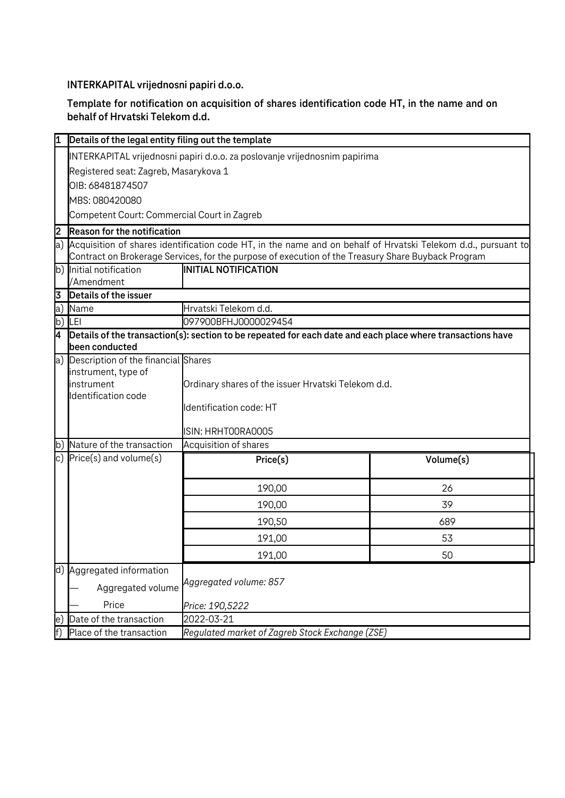**INTERKAPITAL vrijednosni papiri d.o.o.**

**Template for notification on acquisition of shares identification code HT, in the name and on behalf of Hrvatski Telekom d.d.**

| 1              | Details of the legal entity filing out the template                                                                                                                                                                 |                                                     |           |  |  |
|----------------|---------------------------------------------------------------------------------------------------------------------------------------------------------------------------------------------------------------------|-----------------------------------------------------|-----------|--|--|
|                | INTERKAPITAL vrijednosni papiri d.o.o. za poslovanje vrijednosnim papirima                                                                                                                                          |                                                     |           |  |  |
|                | Registered seat: Zagreb, Masarykova 1                                                                                                                                                                               |                                                     |           |  |  |
|                | OIB: 68481874507                                                                                                                                                                                                    |                                                     |           |  |  |
|                | MBS: 080420080                                                                                                                                                                                                      |                                                     |           |  |  |
|                | Competent Court: Commercial Court in Zagreb                                                                                                                                                                         |                                                     |           |  |  |
| $\overline{2}$ | <b>Reason for the notification</b>                                                                                                                                                                                  |                                                     |           |  |  |
| a)             | Acquisition of shares identification code HT, in the name and on behalf of Hrvatski Telekom d.d., pursuant to<br>Contract on Brokerage Services, for the purpose of execution of the Treasury Share Buyback Program |                                                     |           |  |  |
|                | b) Initial notification                                                                                                                                                                                             | <b>INITIAL NOTIFICATION</b>                         |           |  |  |
|                | /Amendment                                                                                                                                                                                                          |                                                     |           |  |  |
| 3              | Details of the issuer                                                                                                                                                                                               |                                                     |           |  |  |
| a)<br>b)       | Name<br>LEI                                                                                                                                                                                                         | Hrvatski Telekom d.d.<br>097900BFHJ0000029454       |           |  |  |
| <b>Z</b>       |                                                                                                                                                                                                                     |                                                     |           |  |  |
|                | Details of the transaction(s): section to be repeated for each date and each place where transactions have<br>been conducted                                                                                        |                                                     |           |  |  |
|                | a) Description of the financial Shares                                                                                                                                                                              |                                                     |           |  |  |
|                | instrument, type of                                                                                                                                                                                                 |                                                     |           |  |  |
|                | instrument                                                                                                                                                                                                          | Ordinary shares of the issuer Hrvatski Telekom d.d. |           |  |  |
|                | Identification code                                                                                                                                                                                                 | Identification code: HT                             |           |  |  |
|                |                                                                                                                                                                                                                     |                                                     |           |  |  |
|                |                                                                                                                                                                                                                     | ISIN: HRHTOORAOOO5                                  |           |  |  |
|                | b) Nature of the transaction                                                                                                                                                                                        | Acquisition of shares                               |           |  |  |
|                | c) $Price(s)$ and volume $(s)$                                                                                                                                                                                      | Price(s)                                            | Volume(s) |  |  |
|                |                                                                                                                                                                                                                     | 190,00                                              | 26        |  |  |
|                |                                                                                                                                                                                                                     | 190,00                                              | 39        |  |  |
|                |                                                                                                                                                                                                                     | 190,50                                              | 689       |  |  |
|                |                                                                                                                                                                                                                     | 191,00                                              | 53        |  |  |
|                |                                                                                                                                                                                                                     | 191,00                                              | 50        |  |  |
|                | d) Aggregated information                                                                                                                                                                                           |                                                     |           |  |  |
|                |                                                                                                                                                                                                                     | Aggregated volume: 857<br>Aggregated volume         |           |  |  |
|                | Price                                                                                                                                                                                                               | Price: 190,5222                                     |           |  |  |
| le.            | Date of the transaction                                                                                                                                                                                             | 2022-03-21                                          |           |  |  |
|                | Place of the transaction                                                                                                                                                                                            | Regulated market of Zagreb Stock Exchange (ZSE)     |           |  |  |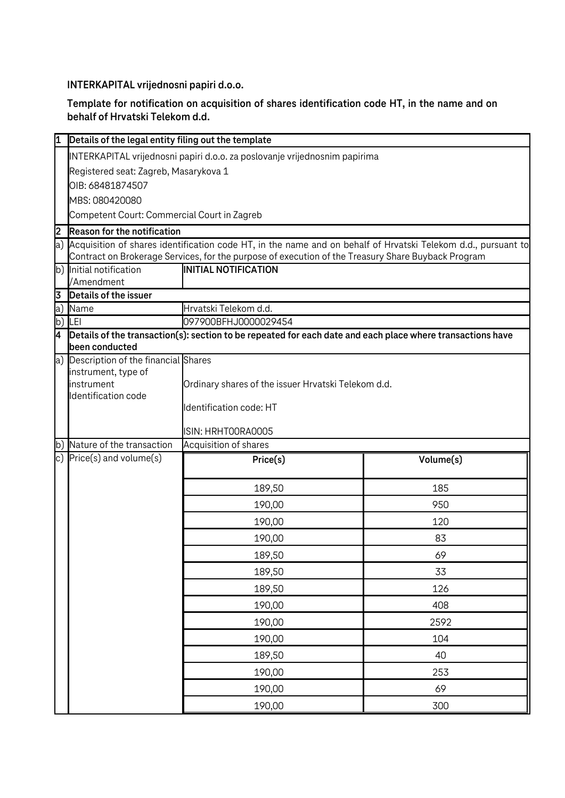**INTERKAPITAL vrijednosni papiri d.o.o.**

**Template for notification on acquisition of shares identification code HT, in the name and on behalf of Hrvatski Telekom d.d.**

| 11      | Details of the legal entity filing out the template                                                                          |                                                                                                                                                     |           |  |  |
|---------|------------------------------------------------------------------------------------------------------------------------------|-----------------------------------------------------------------------------------------------------------------------------------------------------|-----------|--|--|
|         |                                                                                                                              |                                                                                                                                                     |           |  |  |
|         | INTERKAPITAL vrijednosni papiri d.o.o. za poslovanje vrijednosnim papirima                                                   |                                                                                                                                                     |           |  |  |
|         | Registered seat: Zagreb, Masarykova 1<br>OIB: 68481874507                                                                    |                                                                                                                                                     |           |  |  |
|         |                                                                                                                              |                                                                                                                                                     |           |  |  |
|         | MBS: 080420080<br>Competent Court: Commercial Court in Zagreb                                                                |                                                                                                                                                     |           |  |  |
|         |                                                                                                                              |                                                                                                                                                     |           |  |  |
| 2<br>a) |                                                                                                                              | <b>Reason for the notification</b><br>Acquisition of shares identification code HT, in the name and on behalf of Hrvatski Telekom d.d., pursuant to |           |  |  |
|         |                                                                                                                              | Contract on Brokerage Services, for the purpose of execution of the Treasury Share Buyback Program                                                  |           |  |  |
|         | b) Initial notification                                                                                                      | <b>INITIAL NOTIFICATION</b>                                                                                                                         |           |  |  |
|         | /Amendment                                                                                                                   |                                                                                                                                                     |           |  |  |
| 3       | Details of the issuer                                                                                                        |                                                                                                                                                     |           |  |  |
| a)      | Name                                                                                                                         | Hrvatski Telekom d.d.                                                                                                                               |           |  |  |
| b)      | LEI                                                                                                                          | 097900BFHJ0000029454                                                                                                                                |           |  |  |
| 4       | Details of the transaction(s): section to be repeated for each date and each place where transactions have<br>been conducted |                                                                                                                                                     |           |  |  |
| a)      | Description of the financial Shares                                                                                          |                                                                                                                                                     |           |  |  |
|         | instrument, type of<br>instrument                                                                                            | Ordinary shares of the issuer Hrvatski Telekom d.d.                                                                                                 |           |  |  |
|         | Identification code                                                                                                          |                                                                                                                                                     |           |  |  |
|         |                                                                                                                              | Identification code: HT                                                                                                                             |           |  |  |
|         |                                                                                                                              | ISIN: HRHTOORAOOO5                                                                                                                                  |           |  |  |
| b)      | Nature of the transaction                                                                                                    | Acquisition of shares                                                                                                                               |           |  |  |
|         | c) $Price(s)$ and volume $(s)$                                                                                               | Price(s)                                                                                                                                            | Volume(s) |  |  |
|         |                                                                                                                              |                                                                                                                                                     |           |  |  |
|         |                                                                                                                              | 189,50                                                                                                                                              | 185       |  |  |
|         |                                                                                                                              | 190,00                                                                                                                                              | 950       |  |  |
|         |                                                                                                                              | 190,00                                                                                                                                              | 120       |  |  |
|         |                                                                                                                              | 190,00                                                                                                                                              | 83        |  |  |
|         |                                                                                                                              | 189,50                                                                                                                                              | 69        |  |  |
|         |                                                                                                                              |                                                                                                                                                     | 33        |  |  |
|         |                                                                                                                              | 189,50                                                                                                                                              |           |  |  |
|         |                                                                                                                              | 189,50                                                                                                                                              | 126       |  |  |
|         |                                                                                                                              | 190,00                                                                                                                                              | 408       |  |  |
|         |                                                                                                                              | 190,00                                                                                                                                              | 2592      |  |  |
|         |                                                                                                                              | 190,00                                                                                                                                              | 104       |  |  |
|         |                                                                                                                              | 189,50                                                                                                                                              | 40        |  |  |
|         |                                                                                                                              | 190,00                                                                                                                                              | 253       |  |  |
|         |                                                                                                                              | 190,00                                                                                                                                              | 69        |  |  |
|         |                                                                                                                              | 190,00                                                                                                                                              | 300       |  |  |